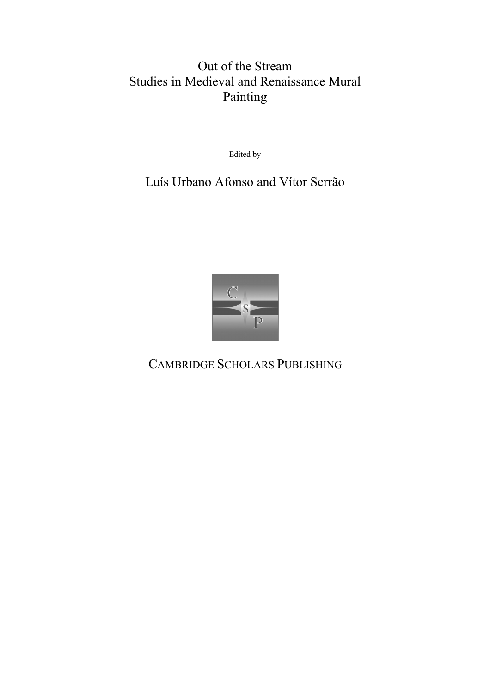# Out of the Stream Studies in Medieval and Renaissance Mural Painting

Edited by

## Luís Urbano Afonso and Vítor Serrão



CAMBRIDGE SCHOLARS PUBLISHING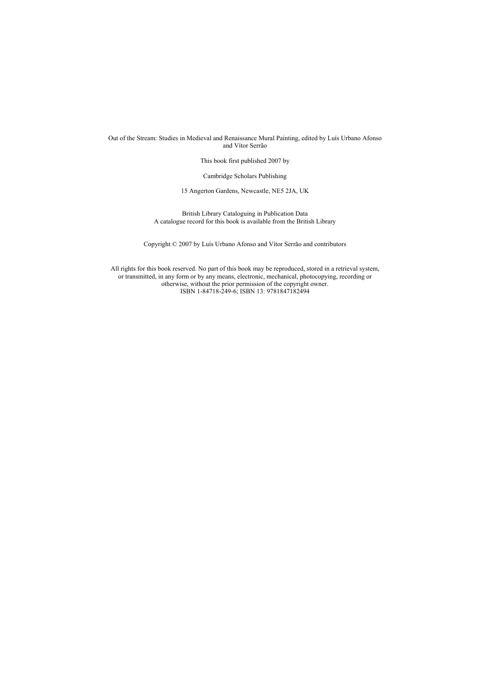Out of the Stream: Studies in Medieval and Renaissance Mural Painting, edited by Luís Urbano Afonso and Vítor Serrão

This book first published 2007 by

Cambridge Scholars Publishing

15 Angerton Gardens, Newcastle, NE5 2JA, UK

British Library Cataloguing in Publication Data A catalogue record for this book is available from the British Library

Copyright © 2007 by Luís Urbano Afonso and Vítor Serrão and contributors

All rights for this book reserved. No part of this book may be reproduced, stored in a retrieval system, or transmitted, in any form or by any means, electronic, mechanical, photocopying, recording or otherwise, without the prior permission of the copyright owner. ISBN 1-84718-249-6; ISBN 13: 9781847182494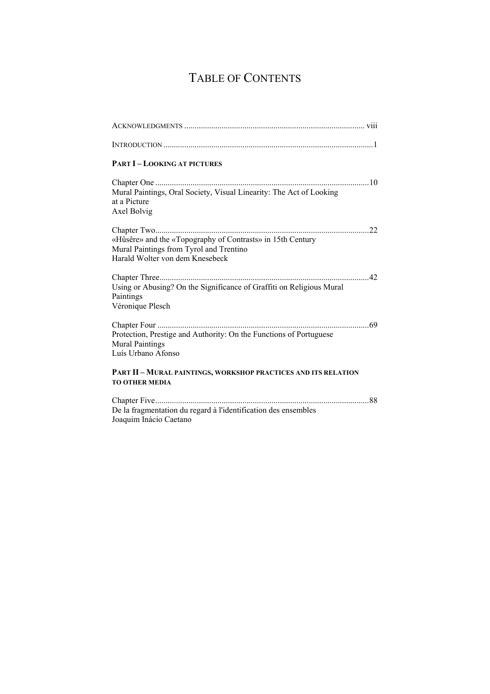# TABLE OF CONTENTS

| <b>PART I-LOOKING AT PICTURES</b>                                                                                                        |
|------------------------------------------------------------------------------------------------------------------------------------------|
| Mural Paintings, Oral Society, Visual Linearity: The Act of Looking<br>at a Picture<br>Axel Bolvig                                       |
| «Hûsêre» and the «Topography of Contrasts» in 15th Century<br>Mural Paintings from Tyrol and Trentino<br>Harald Wolter von dem Knesebeck |
| Using or Abusing? On the Significance of Graffiti on Religious Mural<br>Paintings<br>Véronique Plesch                                    |
| Protection, Prestige and Authority: On the Functions of Portuguese<br><b>Mural Paintings</b><br>Luís Urbano Afonso                       |
| PART II - MURAL PAINTINGS, WORKSHOP PRACTICES AND ITS RELATION<br><b>TO OTHER MEDIA</b>                                                  |
| De la fragmentation du regard à l'identification des ensembles                                                                           |

Joaquim Inácio Caetano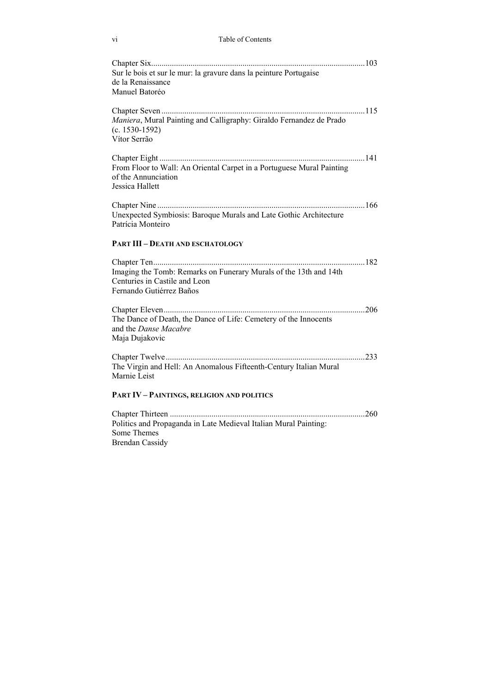### vi Table of Contents

| Sur le bois et sur le mur: la gravure dans la peinture Portugaise<br>de la Renaissance<br>Manuel Batoréo                       |
|--------------------------------------------------------------------------------------------------------------------------------|
| Maniera, Mural Painting and Calligraphy: Giraldo Fernandez de Prado<br>$(c. 1530-1592)$<br>Vítor Serrão                        |
| From Floor to Wall: An Oriental Carpet in a Portuguese Mural Painting<br>of the Annunciation<br>Jessica Hallett                |
| Unexpected Symbiosis: Baroque Murals and Late Gothic Architecture<br>Patrícia Monteiro                                         |
| <b>PART III - DEATH AND ESCHATOLOGY</b>                                                                                        |
| Imaging the Tomb: Remarks on Funerary Murals of the 13th and 14th<br>Centuries in Castile and Leon<br>Fernando Gutiérrez Baños |
| The Dance of Death, the Dance of Life: Cemetery of the Innocents<br>and the Danse Macabre<br>Maja Dujakovic                    |
| The Virgin and Hell: An Anomalous Fifteenth-Century Italian Mural<br>Marnie Leist                                              |
| <b>PART IV - PAINTINGS, RELIGION AND POLITICS</b>                                                                              |
|                                                                                                                                |
| Politics and Propaganda in Late Medieval Italian Mural Painting:                                                               |

Some Themes Brendan Cassidy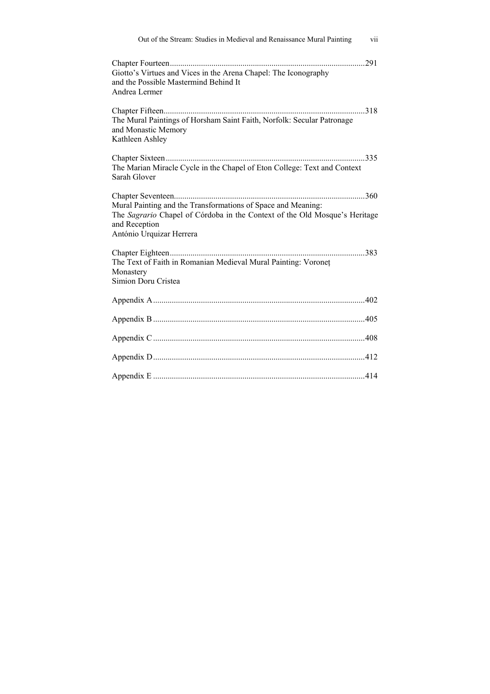| Out of the Stream: Studies in Medieval and Renaissance Mural Painting                                                                                                                   | vii |
|-----------------------------------------------------------------------------------------------------------------------------------------------------------------------------------------|-----|
| .291<br>Giotto's Virtues and Vices in the Arena Chapel: The Iconography<br>and the Possible Mastermind Behind It<br>Andrea Lermer                                                       |     |
| The Mural Paintings of Horsham Saint Faith, Norfolk: Secular Patronage<br>and Monastic Memory<br>Kathleen Ashley                                                                        |     |
| The Marian Miracle Cycle in the Chapel of Eton College: Text and Context<br>Sarah Glover                                                                                                |     |
| Mural Painting and the Transformations of Space and Meaning:<br>The Sagrario Chapel of Córdoba in the Context of the Old Mosque's Heritage<br>and Reception<br>António Urquizar Herrera |     |
| The Text of Faith in Romanian Medieval Mural Painting: Voronet<br>Monastery<br>Simion Doru Cristea                                                                                      |     |
|                                                                                                                                                                                         |     |
|                                                                                                                                                                                         |     |
|                                                                                                                                                                                         |     |
|                                                                                                                                                                                         |     |
|                                                                                                                                                                                         |     |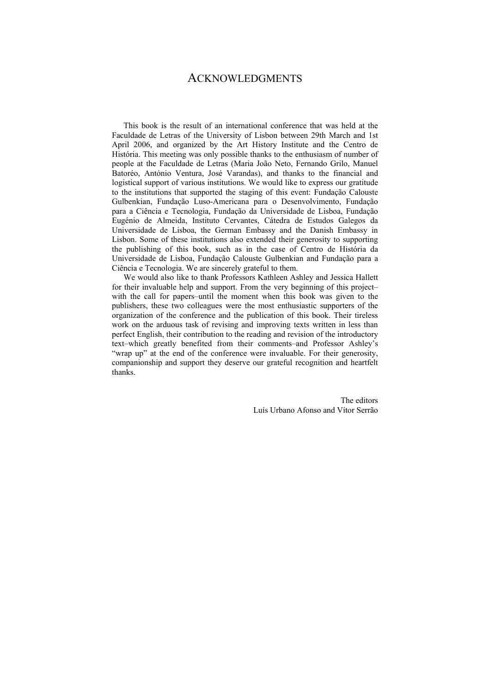### ACKNOWLEDGMENTS

This book is the result of an international conference that was held at the Faculdade de Letras of the University of Lisbon between 29th March and 1st April 2006, and organized by the Art History Institute and the Centro de História. This meeting was only possible thanks to the enthusiasm of number of people at the Faculdade de Letras (Maria João Neto, Fernando Grilo, Manuel Batoréo, António Ventura, José Varandas), and thanks to the financial and logistical support of various institutions. We would like to express our gratitude to the institutions that supported the staging of this event: Fundação Calouste Gulbenkian, Fundação Luso-Americana para o Desenvolvimento, Fundação para a Ciência e Tecnologia, Fundação da Universidade de Lisboa, Fundação Eugénio de Almeida, Instituto Cervantes, Cátedra de Estudos Galegos da Universidade de Lisboa, the German Embassy and the Danish Embassy in Lisbon. Some of these institutions also extended their generosity to supporting the publishing of this book, such as in the case of Centro de História da Universidade de Lisboa, Fundação Calouste Gulbenkian and Fundação para a Ciência e Tecnologia. We are sincerely grateful to them.

We would also like to thank Professors Kathleen Ashley and Jessica Hallett for their invaluable help and support. From the very beginning of this project– with the call for papers–until the moment when this book was given to the publishers, these two colleagues were the most enthusiastic supporters of the organization of the conference and the publication of this book. Their tireless work on the arduous task of revising and improving texts written in less than perfect English, their contribution to the reading and revision of the introductory text–which greatly benefited from their comments–and Professor Ashley's "wrap up" at the end of the conference were invaluable. For their generosity, companionship and support they deserve our grateful recognition and heartfelt thanks.

> The editors Luís Urbano Afonso and Vítor Serrão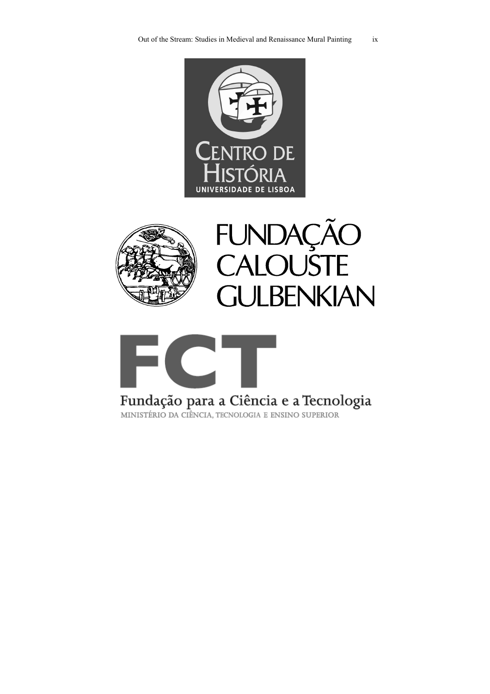





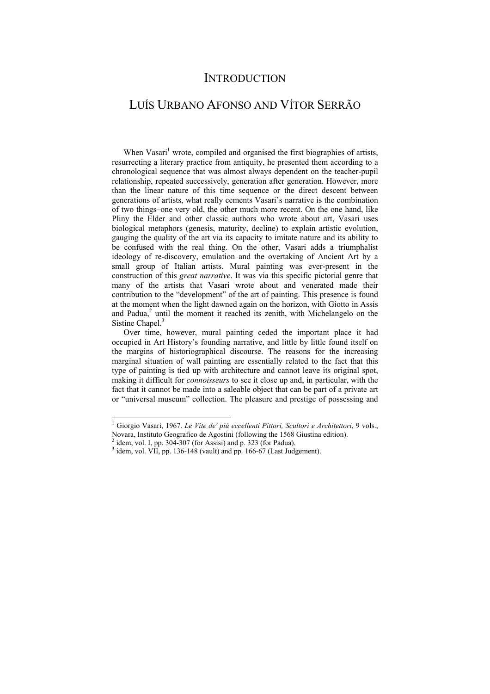### **INTRODUCTION**

### LUÍS URBANO AFONSO AND VÍTOR SERRÃO

When Vasari<sup>1</sup> wrote, compiled and organised the first biographies of artists, resurrecting a literary practice from antiquity, he presented them according to a chronological sequence that was almost always dependent on the teacher-pupil relationship, repeated successively, generation after generation. However, more than the linear nature of this time sequence or the direct descent between generations of artists, what really cements Vasari's narrative is the combination of two things–one very old, the other much more recent. On the one hand, like Pliny the Elder and other classic authors who wrote about art, Vasari uses biological metaphors (genesis, maturity, decline) to explain artistic evolution, gauging the quality of the art via its capacity to imitate nature and its ability to be confused with the real thing. On the other, Vasari adds a triumphalist ideology of re-discovery, emulation and the overtaking of Ancient Art by a small group of Italian artists. Mural painting was ever-present in the construction of this *great narrative*. It was via this specific pictorial genre that many of the artists that Vasari wrote about and venerated made their contribution to the "development" of the art of painting. This presence is found at the moment when the light dawned again on the horizon, with Giotto in Assis and Padua,<sup>2</sup> until the moment it reached its zenith, with Michelangelo on the Sistine Chapel.<sup>3</sup>

Over time, however, mural painting ceded the important place it had occupied in Art History's founding narrative, and little by little found itself on the margins of historiographical discourse. The reasons for the increasing marginal situation of wall painting are essentially related to the fact that this type of painting is tied up with architecture and cannot leave its original spot, making it difficult for *connoisseurs* to see it close up and, in particular, with the fact that it cannot be made into a saleable object that can be part of a private art or "universal museum" collection. The pleasure and prestige of possessing and

 $\overline{a}$ 

<sup>&</sup>lt;sup>1</sup> Giorgio Vasari, 1967. *Le Vite de' piú eccellenti Pittori, Scultori e Architettori*, 9 vols., Novara, Instituto Geografico de Agostini (following the 1568 Giustina edition).

 $<sup>2</sup>$  idem, vol. I, pp. 304-307 (for Assisi) and p. 323 (for Padua).</sup>

 $3$  idem, vol. VII, pp. 136-148 (vault) and pp. 166-67 (Last Judgement).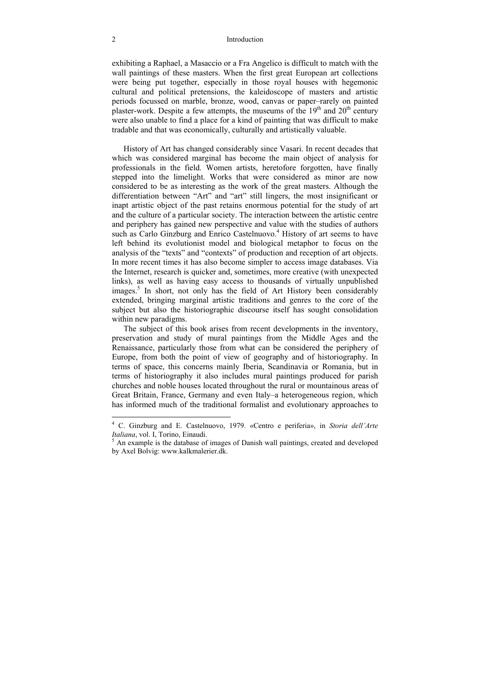exhibiting a Raphael, a Masaccio or a Fra Angelico is difficult to match with the wall paintings of these masters. When the first great European art collections were being put together, especially in those royal houses with hegemonic cultural and political pretensions, the kaleidoscope of masters and artistic periods focussed on marble, bronze, wood, canvas or paper–rarely on painted plaster-work. Despite a few attempts, the museums of the  $19<sup>th</sup>$  and  $20<sup>th</sup>$  century were also unable to find a place for a kind of painting that was difficult to make tradable and that was economically, culturally and artistically valuable.

History of Art has changed considerably since Vasari. In recent decades that which was considered marginal has become the main object of analysis for professionals in the field. Women artists, heretofore forgotten, have finally stepped into the limelight. Works that were considered as minor are now considered to be as interesting as the work of the great masters. Although the differentiation between "Art" and "art" still lingers, the most insignificant or inapt artistic object of the past retains enormous potential for the study of art and the culture of a particular society. The interaction between the artistic centre and periphery has gained new perspective and value with the studies of authors such as Carlo Ginzburg and Enrico Castelnuovo.<sup>4</sup> History of art seems to have left behind its evolutionist model and biological metaphor to focus on the analysis of the "texts" and "contexts" of production and reception of art objects. In more recent times it has also become simpler to access image databases. Via the Internet, research is quicker and, sometimes, more creative (with unexpected links), as well as having easy access to thousands of virtually unpublished images.<sup>5</sup> In short, not only has the field of Art History been considerably extended, bringing marginal artistic traditions and genres to the core of the subject but also the historiographic discourse itself has sought consolidation within new paradigms.

The subject of this book arises from recent developments in the inventory, preservation and study of mural paintings from the Middle Ages and the Renaissance, particularly those from what can be considered the periphery of Europe, from both the point of view of geography and of historiography. In terms of space, this concerns mainly Iberia, Scandinavia or Romania, but in terms of historiography it also includes mural paintings produced for parish churches and noble houses located throughout the rural or mountainous areas of Great Britain, France, Germany and even Italy–a heterogeneous region, which has informed much of the traditional formalist and evolutionary approaches to

 4 C. Ginzburg and E. Castelnuovo, 1979. «Centro e periferia», in *Storia dell'Arte Italiana*, vol. I, Torino, Einaudi.

 $<sup>5</sup>$  An example is the database of images of Danish wall paintings, created and developed</sup> by Axel Bolvig: www.kalkmalerier.dk.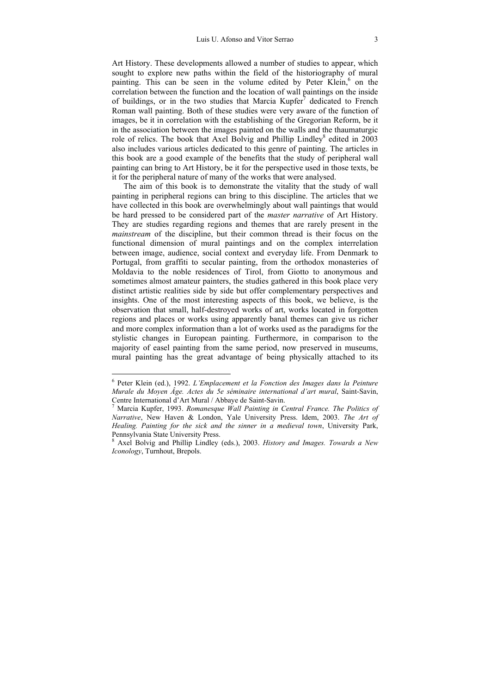Art History. These developments allowed a number of studies to appear, which sought to explore new paths within the field of the historiography of mural painting. This can be seen in the volume edited by Peter Klein,<sup>6</sup> on the correlation between the function and the location of wall paintings on the inside of buildings, or in the two studies that Marcia  $Kupfer<sup>7</sup>$  dedicated to French Roman wall painting. Both of these studies were very aware of the function of images, be it in correlation with the establishing of the Gregorian Reform, be it in the association between the images painted on the walls and the thaumaturgic role of relics. The book that Axel Bolvig and Phillip Lindley<sup>8</sup> edited in 2003 also includes various articles dedicated to this genre of painting. The articles in this book are a good example of the benefits that the study of peripheral wall painting can bring to Art History, be it for the perspective used in those texts, be it for the peripheral nature of many of the works that were analysed.

The aim of this book is to demonstrate the vitality that the study of wall painting in peripheral regions can bring to this discipline. The articles that we have collected in this book are overwhelmingly about wall paintings that would be hard pressed to be considered part of the *master narrative* of Art History. They are studies regarding regions and themes that are rarely present in the *mainstream* of the discipline, but their common thread is their focus on the functional dimension of mural paintings and on the complex interrelation between image, audience, social context and everyday life. From Denmark to Portugal, from graffiti to secular painting, from the orthodox monasteries of Moldavia to the noble residences of Tirol, from Giotto to anonymous and sometimes almost amateur painters, the studies gathered in this book place very distinct artistic realities side by side but offer complementary perspectives and insights. One of the most interesting aspects of this book, we believe, is the observation that small, half-destroyed works of art, works located in forgotten regions and places or works using apparently banal themes can give us richer and more complex information than a lot of works used as the paradigms for the stylistic changes in European painting. Furthermore, in comparison to the majority of easel painting from the same period, now preserved in museums, mural painting has the great advantage of being physically attached to its

 6 Peter Klein (ed.), 1992. *L'Emplacement et la Fonction des Images dans la Peinture Murale du Moyen Âge. Actes du 5e séminaire international d'art mural*, Saint-Savin, Centre International d'Art Mural / Abbaye de Saint-Savin. 7

Marcia Kupfer, 1993. *Romanesque Wall Painting in Central France. The Politics of Narrative*, New Haven & London, Yale University Press. Idem, 2003. *The Art of Healing. Painting for the sick and the sinner in a medieval town*, University Park, Pennsylvania State University Press.

<sup>8</sup> Axel Bolvig and Phillip Lindley (eds.), 2003. *History and Images. Towards a New Iconology*, Turnhout, Brepols.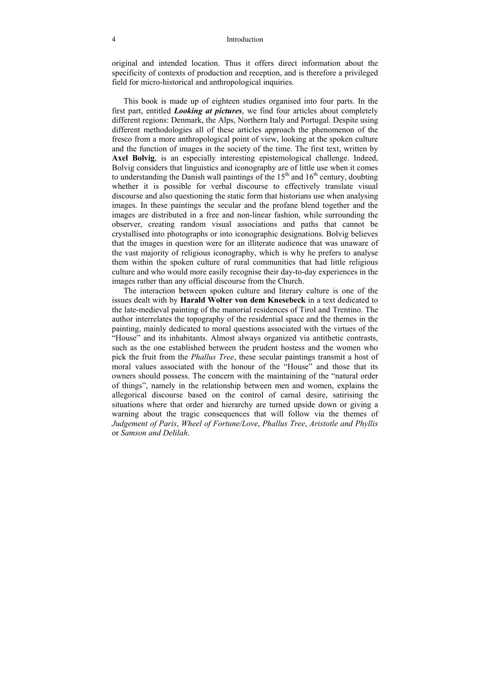original and intended location. Thus it offers direct information about the specificity of contexts of production and reception, and is therefore a privileged field for micro-historical and anthropological inquiries.

This book is made up of eighteen studies organised into four parts. In the first part, entitled *Looking at pictures*, we find four articles about completely different regions: Denmark, the Alps, Northern Italy and Portugal. Despite using different methodologies all of these articles approach the phenomenon of the fresco from a more anthropological point of view, looking at the spoken culture and the function of images in the society of the time. The first text, written by **Axel Bolvig**, is an especially interesting epistemological challenge. Indeed, Bolvig considers that linguistics and iconography are of little use when it comes to understanding the Danish wall paintings of the  $15<sup>th</sup>$  and  $16<sup>th</sup>$  century, doubting whether it is possible for verbal discourse to effectively translate visual discourse and also questioning the static form that historians use when analysing images. In these paintings the secular and the profane blend together and the images are distributed in a free and non-linear fashion, while surrounding the observer, creating random visual associations and paths that cannot be crystallised into photographs or into iconographic designations. Bolvig believes that the images in question were for an illiterate audience that was unaware of the vast majority of religious iconography, which is why he prefers to analyse them within the spoken culture of rural communities that had little religious culture and who would more easily recognise their day-to-day experiences in the images rather than any official discourse from the Church.

The interaction between spoken culture and literary culture is one of the issues dealt with by **Harald Wolter von dem Knesebeck** in a text dedicated to the late-medieval painting of the manorial residences of Tirol and Trentino. The author interrelates the topography of the residential space and the themes in the painting, mainly dedicated to moral questions associated with the virtues of the "House" and its inhabitants. Almost always organized via antithetic contrasts, such as the one established between the prudent hostess and the women who pick the fruit from the *Phallus Tree*, these secular paintings transmit a host of moral values associated with the honour of the "House" and those that its owners should possess. The concern with the maintaining of the "natural order of things", namely in the relationship between men and women, explains the allegorical discourse based on the control of carnal desire, satirising the situations where that order and hierarchy are turned upside down or giving a warning about the tragic consequences that will follow via the themes of *Judgement of Paris*, *Wheel of Fortune/Love*, *Phallus Tree*, *Aristotle and Phyllis* or *Samson and Delilah*.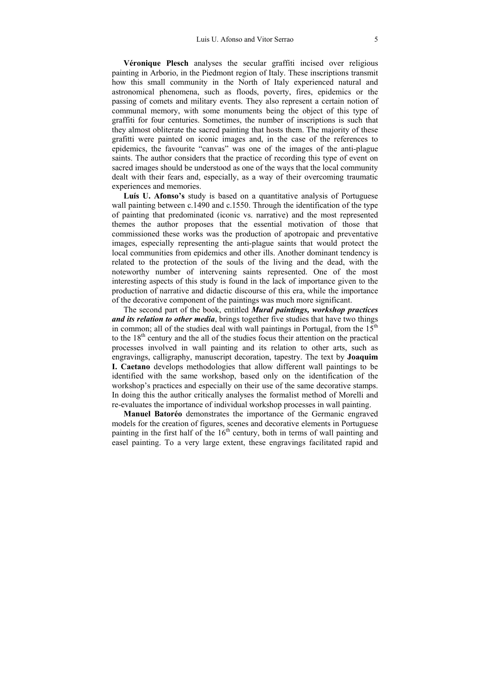**Véronique Plesch** analyses the secular graffiti incised over religious painting in Arborio, in the Piedmont region of Italy. These inscriptions transmit how this small community in the North of Italy experienced natural and astronomical phenomena, such as floods, poverty, fires, epidemics or the passing of comets and military events. They also represent a certain notion of communal memory, with some monuments being the object of this type of graffiti for four centuries. Sometimes, the number of inscriptions is such that they almost obliterate the sacred painting that hosts them. The majority of these grafitti were painted on iconic images and, in the case of the references to epidemics, the favourite "canvas" was one of the images of the anti-plague saints. The author considers that the practice of recording this type of event on sacred images should be understood as one of the ways that the local community dealt with their fears and, especially, as a way of their overcoming traumatic experiences and memories.

**Luís U. Afonso's** study is based on a quantitative analysis of Portuguese wall painting between c.1490 and c.1550. Through the identification of the type of painting that predominated (iconic vs. narrative) and the most represented themes the author proposes that the essential motivation of those that commissioned these works was the production of apotropaic and preventative images, especially representing the anti-plague saints that would protect the local communities from epidemics and other ills. Another dominant tendency is related to the protection of the souls of the living and the dead, with the noteworthy number of intervening saints represented. One of the most interesting aspects of this study is found in the lack of importance given to the production of narrative and didactic discourse of this era, while the importance of the decorative component of the paintings was much more significant.

The second part of the book, entitled *Mural paintings, workshop practices and its relation to other media*, brings together five studies that have two things in common; all of the studies deal with wall paintings in Portugal, from the  $15<sup>th</sup>$ to the  $18<sup>th</sup>$  century and the all of the studies focus their attention on the practical processes involved in wall painting and its relation to other arts, such as engravings, calligraphy, manuscript decoration, tapestry. The text by **Joaquim I. Caetano** develops methodologies that allow different wall paintings to be identified with the same workshop, based only on the identification of the workshop's practices and especially on their use of the same decorative stamps. In doing this the author critically analyses the formalist method of Morelli and re-evaluates the importance of individual workshop processes in wall painting.

**Manuel Batoréo** demonstrates the importance of the Germanic engraved models for the creation of figures, scenes and decorative elements in Portuguese painting in the first half of the  $16<sup>th</sup>$  century, both in terms of wall painting and easel painting. To a very large extent, these engravings facilitated rapid and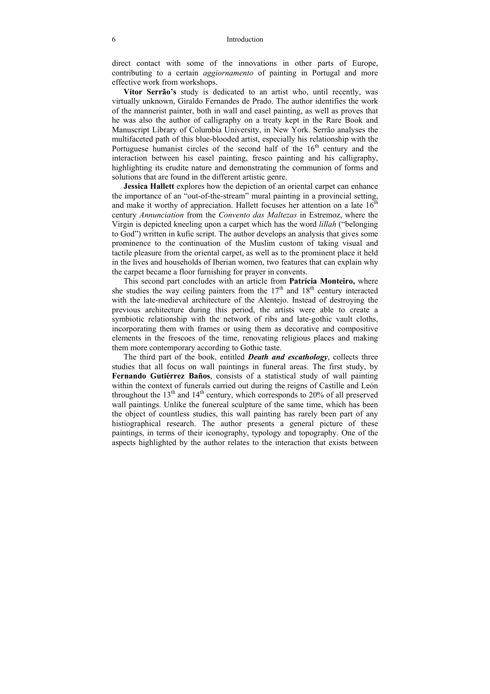direct contact with some of the innovations in other parts of Europe, contributing to a certain *aggiornamento* of painting in Portugal and more effective work from workshops.

**Vítor Serrão's** study is dedicated to an artist who, until recently, was virtually unknown, Giraldo Fernandes de Prado. The author identifies the work of the mannerist painter, both in wall and easel painting, as well as proves that he was also the author of calligraphy on a treaty kept in the Rare Book and Manuscript Library of Columbia University, in New York. Serrão analyses the multifaceted path of this blue-blooded artist, especially his relationship with the Portuguese humanist circles of the second half of the  $16<sup>th</sup>$  century and the interaction between his easel painting, fresco painting and his calligraphy, highlighting its erudite nature and demonstrating the communion of forms and solutions that are found in the different artistic genre.

**Jessica Hallett** explores how the depiction of an oriental carpet can enhance the importance of an "out-of-the-stream" mural painting in a provincial setting, and make it worthy of appreciation. Hallett focuses her attention on a late  $16<sup>th</sup>$ century *Annunciation* from the *Convento das Maltezas* in Estremoz, where the Virgin is depicted kneeling upon a carpet which has the word *lillah* ("belonging to God") written in kufic script. The author develops an analysis that gives some prominence to the continuation of the Muslim custom of taking visual and tactile pleasure from the oriental carpet, as well as to the prominent place it held in the lives and households of Iberian women, two features that can explain why the carpet became a floor furnishing for prayer in convents.

This second part concludes with an article from **Patrícia Monteiro,** where she studies the way ceiling painters from the  $17<sup>th</sup>$  and  $18<sup>th</sup>$  century interacted with the late-medieval architecture of the Alentejo. Instead of destroying the previous architecture during this period, the artists were able to create a symbiotic relationship with the network of ribs and late-gothic vault cloths, incorporating them with frames or using them as decorative and compositive elements in the frescoes of the time, renovating religious places and making them more contemporary according to Gothic taste.

The third part of the book, entitled *Death and escathology*, collects three studies that all focus on wall paintings in funeral areas. The first study, by **Fernando Gutiérrez Baños**, consists of a statistical study of wall painting within the context of funerals carried out during the reigns of Castille and León throughout the  $13<sup>th</sup>$  and  $14<sup>th</sup>$  century, which corresponds to 20% of all preserved wall paintings. Unlike the funereal sculpture of the same time, which has been the object of countless studies, this wall painting has rarely been part of any histiographical research. The author presents a general picture of these paintings, in terms of their iconography, typology and topography. One of the aspects highlighted by the author relates to the interaction that exists between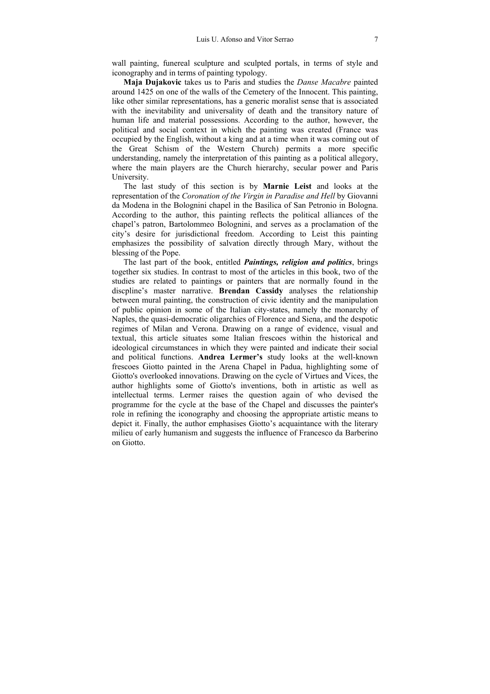wall painting, funereal sculpture and sculpted portals, in terms of style and iconography and in terms of painting typology.

**Maja Dujakovic** takes us to Paris and studies the *Danse Macabre* painted around 1425 on one of the walls of the Cemetery of the Innocent. This painting, like other similar representations, has a generic moralist sense that is associated with the inevitability and universality of death and the transitory nature of human life and material possessions. According to the author, however, the political and social context in which the painting was created (France was occupied by the English, without a king and at a time when it was coming out of the Great Schism of the Western Church) permits a more specific understanding, namely the interpretation of this painting as a political allegory, where the main players are the Church hierarchy, secular power and Paris University.

The last study of this section is by **Marnie Leist** and looks at the representation of the *Coronation of the Virgin in Paradise and Hell* by Giovanni da Modena in the Bolognini chapel in the Basilica of San Petronio in Bologna. According to the author, this painting reflects the political alliances of the chapel's patron, Bartolommeo Bolognini, and serves as a proclamation of the city's desire for jurisdictional freedom. According to Leist this painting emphasizes the possibility of salvation directly through Mary, without the blessing of the Pope.

The last part of the book, entitled *Paintings, religion and politics*, brings together six studies. In contrast to most of the articles in this book, two of the studies are related to paintings or painters that are normally found in the discpline's master narrative. **Brendan Cassidy** analyses the relationship between mural painting, the construction of civic identity and the manipulation of public opinion in some of the Italian city-states, namely the monarchy of Naples, the quasi-democratic oligarchies of Florence and Siena, and the despotic regimes of Milan and Verona. Drawing on a range of evidence, visual and textual, this article situates some Italian frescoes within the historical and ideological circumstances in which they were painted and indicate their social and political functions. **Andrea Lermer's** study looks at the well-known frescoes Giotto painted in the Arena Chapel in Padua, highlighting some of Giotto's overlooked innovations. Drawing on the cycle of Virtues and Vices, the author highlights some of Giotto's inventions, both in artistic as well as intellectual terms. Lermer raises the question again of who devised the programme for the cycle at the base of the Chapel and discusses the painter's role in refining the iconography and choosing the appropriate artistic means to depict it. Finally, the author emphasises Giotto's acquaintance with the literary milieu of early humanism and suggests the influence of Francesco da Barberino on Giotto.